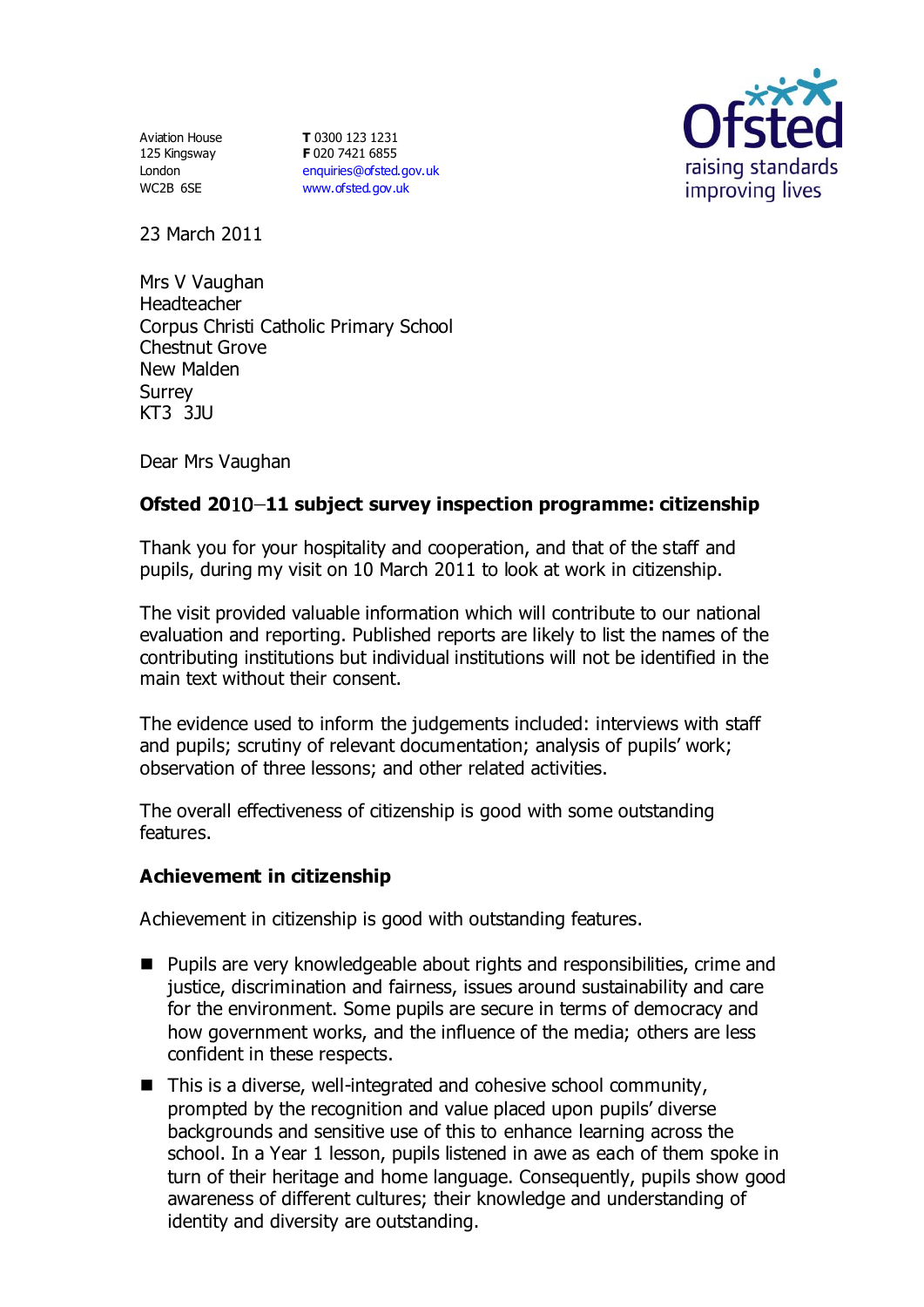Aviation House 125 Kingsway London WC2B 6SE

**T** 0300 123 1231 **F** 020 7421 6855 [enquiries@ofsted.gov.uk](mailto:enquiries@ofsted.gov.uk) [www.ofsted.gov.uk](http://www.ofsted.gov.uk/)



23 March 2011

Mrs V Vaughan Headteacher Corpus Christi Catholic Primary School Chestnut Grove New Malden **Surrev** KT3 3JU

Dear Mrs Vaughan

# **Ofsted 20 11 subject survey inspection programme: citizenship**

Thank you for your hospitality and cooperation, and that of the staff and pupils, during my visit on 10 March 2011 to look at work in citizenship.

The visit provided valuable information which will contribute to our national evaluation and reporting. Published reports are likely to list the names of the contributing institutions but individual institutions will not be identified in the main text without their consent.

The evidence used to inform the judgements included: interviews with staff and pupils; scrutiny of relevant documentation; analysis of pupils' work; observation of three lessons; and other related activities.

The overall effectiveness of citizenship is good with some outstanding features.

## **Achievement in citizenship**

Achievement in citizenship is good with outstanding features.

- Pupils are very knowledgeable about rights and responsibilities, crime and justice, discrimination and fairness, issues around sustainability and care for the environment. Some pupils are secure in terms of democracy and how government works, and the influence of the media; others are less confident in these respects.
- $\blacksquare$  This is a diverse, well-integrated and cohesive school community, prompted by the recognition and value placed upon pupils' diverse backgrounds and sensitive use of this to enhance learning across the school. In a Year 1 lesson, pupils listened in awe as each of them spoke in turn of their heritage and home language. Consequently, pupils show good awareness of different cultures; their knowledge and understanding of identity and diversity are outstanding.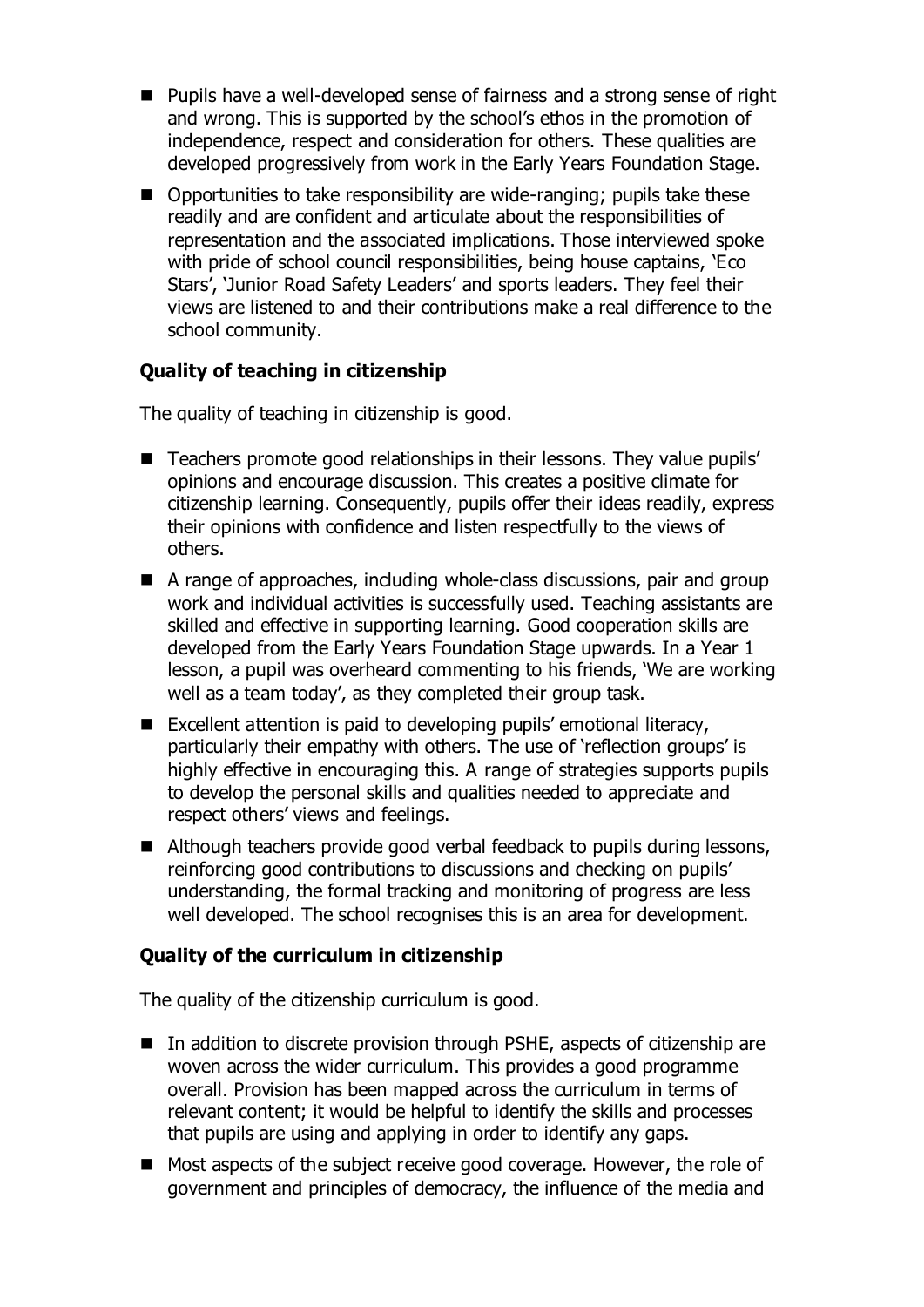- Pupils have a well-developed sense of fairness and a strong sense of right and wrong. This is supported by the school's ethos in the promotion of independence, respect and consideration for others. These qualities are developed progressively from work in the Early Years Foundation Stage.
- Opportunities to take responsibility are wide-ranging; pupils take these readily and are confident and articulate about the responsibilities of representation and the associated implications. Those interviewed spoke with pride of school council responsibilities, being house captains, 'Eco Stars', 'Junior Road Safety Leaders' and sports leaders. They feel their views are listened to and their contributions make a real difference to the school community.

# **Quality of teaching in citizenship**

The quality of teaching in citizenship is good.

- Teachers promote good relationships in their lessons. They value pupils' opinions and encourage discussion. This creates a positive climate for citizenship learning. Consequently, pupils offer their ideas readily, express their opinions with confidence and listen respectfully to the views of others.
- A range of approaches, including whole-class discussions, pair and group work and individual activities is successfully used. Teaching assistants are skilled and effective in supporting learning. Good cooperation skills are developed from the Early Years Foundation Stage upwards. In a Year 1 lesson, a pupil was overheard commenting to his friends, 'We are working well as a team today', as they completed their group task.
- Excellent attention is paid to developing pupils' emotional literacy, particularly their empathy with others. The use of 'reflection groups' is highly effective in encouraging this. A range of strategies supports pupils to develop the personal skills and qualities needed to appreciate and respect others' views and feelings.
- Although teachers provide good verbal feedback to pupils during lessons, reinforcing good contributions to discussions and checking on pupils' understanding, the formal tracking and monitoring of progress are less well developed. The school recognises this is an area for development.

## **Quality of the curriculum in citizenship**

The quality of the citizenship curriculum is good.

- In addition to discrete provision through PSHE, aspects of citizenship are woven across the wider curriculum. This provides a good programme overall. Provision has been mapped across the curriculum in terms of relevant content; it would be helpful to identify the skills and processes that pupils are using and applying in order to identify any gaps.
- Most aspects of the subject receive good coverage. However, the role of government and principles of democracy, the influence of the media and